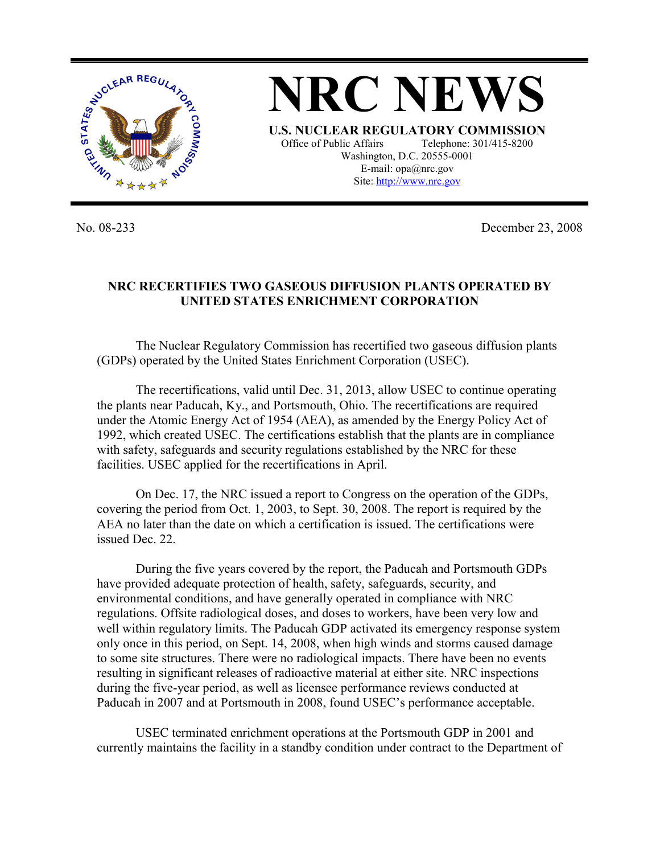

No. 08-233 December 23, 2008

## **NRC RECERTIFIES TWO GASEOUS DIFFUSION PLANTS OPERATED BY UNITED STATES ENRICHMENT CORPORATION**

 The Nuclear Regulatory Commission has recertified two gaseous diffusion plants (GDPs) operated by the United States Enrichment Corporation (USEC).

 The recertifications, valid until Dec. 31, 2013, allow USEC to continue operating the plants near Paducah, Ky., and Portsmouth, Ohio. The recertifications are required under the Atomic Energy Act of 1954 (AEA), as amended by the Energy Policy Act of 1992, which created USEC. The certifications establish that the plants are in compliance with safety, safeguards and security regulations established by the NRC for these facilities. USEC applied for the recertifications in April.

 On Dec. 17, the NRC issued a report to Congress on the operation of the GDPs, covering the period from Oct. 1, 2003, to Sept. 30, 2008. The report is required by the AEA no later than the date on which a certification is issued. The certifications were issued Dec. 22.

 During the five years covered by the report, the Paducah and Portsmouth GDPs have provided adequate protection of health, safety, safeguards, security, and environmental conditions, and have generally operated in compliance with NRC regulations. Offsite radiological doses, and doses to workers, have been very low and well within regulatory limits. The Paducah GDP activated its emergency response system only once in this period, on Sept. 14, 2008, when high winds and storms caused damage to some site structures. There were no radiological impacts. There have been no events resulting in significant releases of radioactive material at either site. NRC inspections during the five-year period, as well as licensee performance reviews conducted at Paducah in 2007 and at Portsmouth in 2008, found USEC's performance acceptable.

 USEC terminated enrichment operations at the Portsmouth GDP in 2001 and currently maintains the facility in a standby condition under contract to the Department of